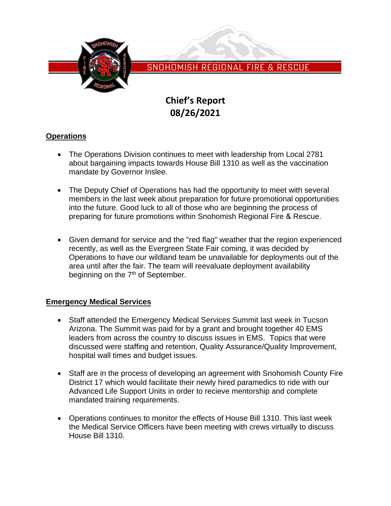

SNOHOMISH REGIONAL FIRE & RESCUE

# **Chief's Report 08/26/2021**

# **Operations**

- The Operations Division continues to meet with leadership from Local 2781 about bargaining impacts towards House Bill 1310 as well as the vaccination mandate by Governor Inslee.
- The Deputy Chief of Operations has had the opportunity to meet with several members in the last week about preparation for future promotional opportunities into the future. Good luck to all of those who are beginning the process of preparing for future promotions within Snohomish Regional Fire & Rescue.
- Given demand for service and the "red flag" weather that the region experienced recently, as well as the Evergreen State Fair coming, it was decided by Operations to have our wildland team be unavailable for deployments out of the area until after the fair. The team will reevaluate deployment availability beginning on the 7<sup>th</sup> of September.

## **Emergency Medical Services**

- Staff attended the Emergency Medical Services Summit last week in Tucson Arizona. The Summit was paid for by a grant and brought together 40 EMS leaders from across the country to discuss issues in EMS. Topics that were discussed were staffing and retention, Quality Assurance/Quality Improvement, hospital wall times and budget issues.
- Staff are in the process of developing an agreement with Snohomish County Fire District 17 which would facilitate their newly hired paramedics to ride with our Advanced Life Support Units in order to recieve mentorship and complete mandated training requirements.
- Operations continues to monitor the effects of House Bill 1310. This last week the Medical Service Officers have been meeting with crews virtually to discuss House Bill 1310.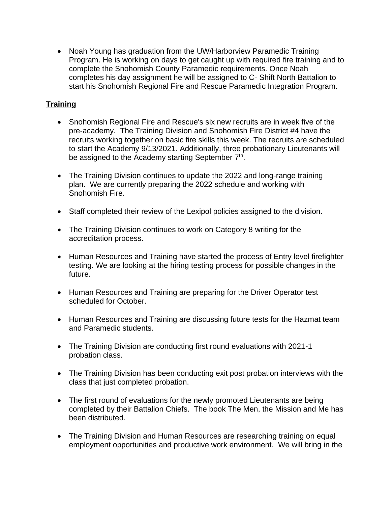• Noah Young has graduation from the UW/Harborview Paramedic Training Program. He is working on days to get caught up with required fire training and to complete the Snohomish County Paramedic requirements. Once Noah completes his day assignment he will be assigned to C- Shift North Battalion to start his Snohomish Regional Fire and Rescue Paramedic Integration Program.

# **Training**

- Snohomish Regional Fire and Rescue's six new recruits are in week five of the pre-academy. The Training Division and Snohomish Fire District #4 have the recruits working together on basic fire skills this week. The recruits are scheduled to start the Academy 9/13/2021. Additionally, three probationary Lieutenants will be assigned to the Academy starting September 7<sup>th</sup>.
- The Training Division continues to update the 2022 and long-range training plan. We are currently preparing the 2022 schedule and working with Snohomish Fire.
- Staff completed their review of the Lexipol policies assigned to the division.
- The Training Division continues to work on Category 8 writing for the accreditation process.
- Human Resources and Training have started the process of Entry level firefighter testing. We are looking at the hiring testing process for possible changes in the future.
- Human Resources and Training are preparing for the Driver Operator test scheduled for October.
- Human Resources and Training are discussing future tests for the Hazmat team and Paramedic students.
- The Training Division are conducting first round evaluations with 2021-1 probation class.
- The Training Division has been conducting exit post probation interviews with the class that just completed probation.
- The first round of evaluations for the newly promoted Lieutenants are being completed by their Battalion Chiefs. The book The Men, the Mission and Me has been distributed.
- The Training Division and Human Resources are researching training on equal employment opportunities and productive work environment. We will bring in the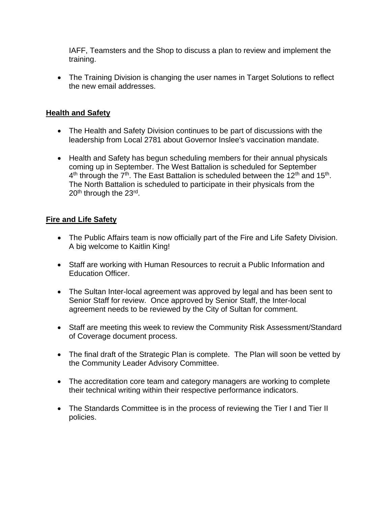IAFF, Teamsters and the Shop to discuss a plan to review and implement the training.

• The Training Division is changing the user names in Target Solutions to reflect the new email addresses.

#### **Health and Safety**

- The Health and Safety Division continues to be part of discussions with the leadership from Local 2781 about Governor Inslee's vaccination mandate.
- Health and Safety has begun scheduling members for their annual physicals coming up in September. The West Battalion is scheduled for September  $4<sup>th</sup>$  through the 7<sup>th</sup>. The East Battalion is scheduled between the 12<sup>th</sup> and 15<sup>th</sup>. The North Battalion is scheduled to participate in their physicals from the 20<sup>th</sup> through the 23<sup>rd</sup>.

## **Fire and Life Safety**

- The Public Affairs team is now officially part of the Fire and Life Safety Division. A big welcome to Kaitlin King!
- Staff are working with Human Resources to recruit a Public Information and Education Officer.
- The Sultan Inter-local agreement was approved by legal and has been sent to Senior Staff for review. Once approved by Senior Staff, the Inter-local agreement needs to be reviewed by the City of Sultan for comment.
- Staff are meeting this week to review the Community Risk Assessment/Standard of Coverage document process.
- The final draft of the Strategic Plan is complete. The Plan will soon be vetted by the Community Leader Advisory Committee.
- The accreditation core team and category managers are working to complete their technical writing within their respective performance indicators.
- The Standards Committee is in the process of reviewing the Tier I and Tier II policies.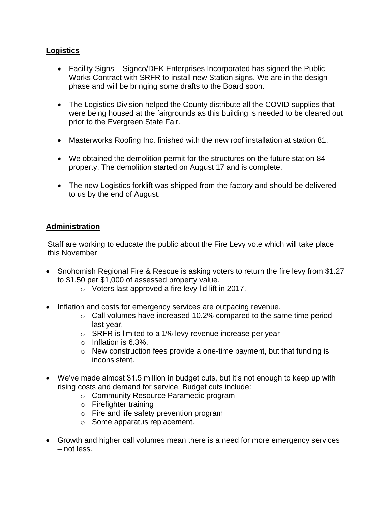#### **Logistics**

- Facility Signs Signco/DEK Enterprises Incorporated has signed the Public Works Contract with SRFR to install new Station signs. We are in the design phase and will be bringing some drafts to the Board soon.
- The Logistics Division helped the County distribute all the COVID supplies that were being housed at the fairgrounds as this building is needed to be cleared out prior to the Evergreen State Fair.
- Masterworks Roofing Inc. finished with the new roof installation at station 81.
- We obtained the demolition permit for the structures on the future station 84 property. The demolition started on August 17 and is complete.
- The new Logistics forklift was shipped from the factory and should be delivered to us by the end of August.

#### **Administration**

Staff are working to educate the public about the Fire Levy vote which will take place this November

- Snohomish Regional Fire & Rescue is asking voters to return the fire levy from \$1.27 to \$1.50 per \$1,000 of assessed property value.
	- o Voters last approved a fire levy lid lift in 2017.
- Inflation and costs for emergency services are outpacing revenue.
	- o Call volumes have increased 10.2% compared to the same time period last year.
	- o SRFR is limited to a 1% levy revenue increase per year
	- o Inflation is 6.3%.
	- $\circ$  New construction fees provide a one-time payment, but that funding is inconsistent.
- We've made almost \$1.5 million in budget cuts, but it's not enough to keep up with rising costs and demand for service. Budget cuts include:
	- o Community Resource Paramedic program
	- o Firefighter training
	- o Fire and life safety prevention program
	- o Some apparatus replacement.
- Growth and higher call volumes mean there is a need for more emergency services – not less.